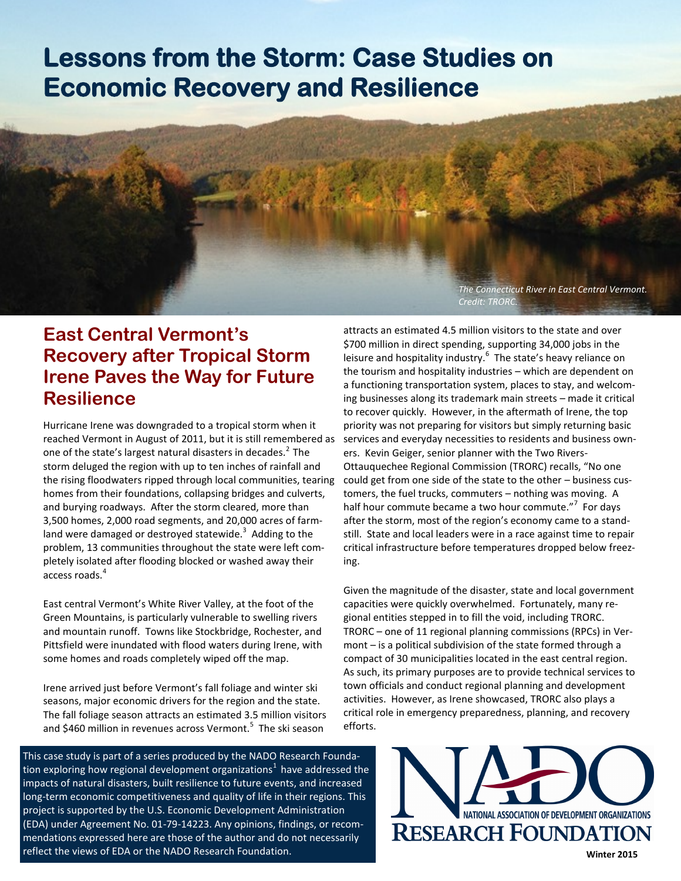# **Lessons from the Storm: Case Studies on Economic Recovery and Resilience**

*The Connecticut River in East Central Vermont. Credit: TRORC.*

# **East Central Vermont's Recovery after Tropical Storm Irene Paves the Way for Future Resilience**

Hurricane Irene was downgraded to a tropical storm when it reached Vermont in August of 2011, but it is still remembered as one of the state's largest natural disasters in decades. $<sup>2</sup>$  The</sup> storm deluged the region with up to ten inches of rainfall and the rising floodwaters ripped through local communities, tearing homes from their foundations, collapsing bridges and culverts, and burying roadways. After the storm cleared, more than 3,500 homes, 2,000 road segments, and 20,000 acres of farmland were damaged or destroyed statewide.<sup>3</sup> Adding to the problem, 13 communities throughout the state were left completely isolated after flooding blocked or washed away their access roads.<sup>4</sup>

East central Vermont's White River Valley, at the foot of the Green Mountains, is particularly vulnerable to swelling rivers and mountain runoff. Towns like Stockbridge, Rochester, and Pittsfield were inundated with flood waters during Irene, with some homes and roads completely wiped off the map.

Irene arrived just before Vermont's fall foliage and winter ski seasons, major economic drivers for the region and the state. The fall foliage season attracts an estimated 3.5 million visitors and \$460 million in revenues across Vermont.<sup>5</sup> The ski season

This case study is part of a series produced by the NADO Research Foundation exploring how regional development organizations $^1$  have addressed the impacts of natural disasters, built resilience to future events, and increased long-term economic competitiveness and quality of life in their regions. This project is supported by the U.S. Economic Development Administration (EDA) under Agreement No. 01-79-14223. Any opinions, findings, or recommendations expressed here are those of the author and do not necessarily reflect the views of EDA or the NADO Research Foundation.

attracts an estimated 4.5 million visitors to the state and over \$700 million in direct spending, supporting 34,000 jobs in the leisure and hospitality industry.<sup>6</sup> The state's heavy reliance on the tourism and hospitality industries – which are dependent on a functioning transportation system, places to stay, and welcoming businesses along its trademark main streets – made it critical to recover quickly. However, in the aftermath of Irene, the top priority was not preparing for visitors but simply returning basic services and everyday necessities to residents and business owners. Kevin Geiger, senior planner with the Two Rivers-Ottauquechee Regional Commission (TRORC) recalls, "No one could get from one side of the state to the other – business customers, the fuel trucks, commuters – nothing was moving. A half hour commute became a two hour commute."<sup>7</sup> For days after the storm, most of the region's economy came to a standstill. State and local leaders were in a race against time to repair critical infrastructure before temperatures dropped below freezing.

Given the magnitude of the disaster, state and local government capacities were quickly overwhelmed. Fortunately, many regional entities stepped in to fill the void, including TRORC. TRORC – one of 11 regional planning commissions (RPCs) in Vermont – is a political subdivision of the state formed through a compact of 30 municipalities located in the east central region. As such, its primary purposes are to provide technical services to town officials and conduct regional planning and development activities. However, as Irene showcased, TRORC also plays a critical role in emergency preparedness, planning, and recovery efforts.

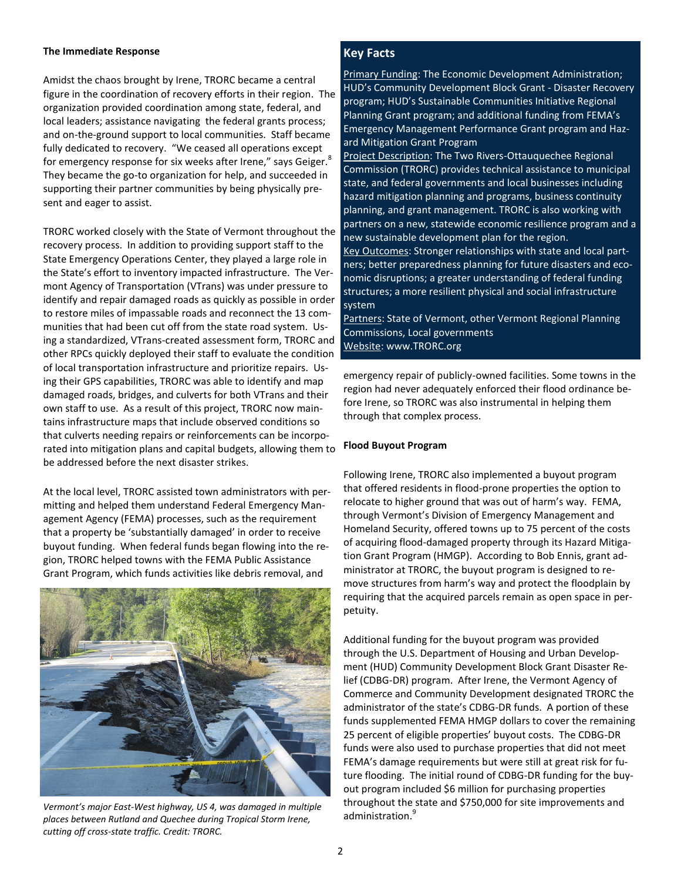#### **The Immediate Response**

Amidst the chaos brought by Irene, TRORC became a central figure in the coordination of recovery efforts in their region. The organization provided coordination among state, federal, and local leaders; assistance navigating the federal grants process; and on-the-ground support to local communities. Staff became fully dedicated to recovery. "We ceased all operations except for emergency response for six weeks after Irene," says Geiger. $^8$ They became the go-to organization for help, and succeeded in supporting their partner communities by being physically present and eager to assist.

TRORC worked closely with the State of Vermont throughout the recovery process. In addition to providing support staff to the State Emergency Operations Center, they played a large role in the State's effort to inventory impacted infrastructure. The Vermont Agency of Transportation (VTrans) was under pressure to identify and repair damaged roads as quickly as possible in order to restore miles of impassable roads and reconnect the 13 communities that had been cut off from the state road system. Using a standardized, VTrans-created assessment form, TRORC and other RPCs quickly deployed their staff to evaluate the condition of local transportation infrastructure and prioritize repairs. Using their GPS capabilities, TRORC was able to identify and map damaged roads, bridges, and culverts for both VTrans and their own staff to use. As a result of this project, TRORC now maintains infrastructure maps that include observed conditions so that culverts needing repairs or reinforcements can be incorporated into mitigation plans and capital budgets, allowing them to be addressed before the next disaster strikes.

At the local level, TRORC assisted town administrators with permitting and helped them understand Federal Emergency Management Agency (FEMA) processes, such as the requirement that a property be 'substantially damaged' in order to receive buyout funding. When federal funds began flowing into the region, TRORC helped towns with the FEMA Public Assistance Grant Program, which funds activities like debris removal, and



*Vermont's major East-West highway, US 4, was damaged in multiple places between Rutland and Quechee during Tropical Storm Irene, cutting off cross-state traffic. Credit: TRORC.*

# **Key Facts**

Primary Funding: The Economic Development Administration; HUD's Community Development Block Grant - Disaster Recovery program; HUD's Sustainable Communities Initiative Regional Planning Grant program; and additional funding from FEMA's Emergency Management Performance Grant program and Hazard Mitigation Grant Program

Project Description: The Two Rivers-Ottauquechee Regional Commission (TRORC) provides technical assistance to municipal state, and federal governments and local businesses including hazard mitigation planning and programs, business continuity planning, and grant management. TRORC is also working with partners on a new, statewide economic resilience program and a new sustainable development plan for the region. Key Outcomes: Stronger relationships with state and local partners; better preparedness planning for future disasters and eco-

nomic disruptions; a greater understanding of federal funding structures; a more resilient physical and social infrastructure system

Partners: State of Vermont, other Vermont Regional Planning Commissions, Local governments Website: www.TRORC.org

emergency repair of publicly-owned facilities. Some towns in the region had never adequately enforced their flood ordinance before Irene, so TRORC was also instrumental in helping them through that complex process.

## **Flood Buyout Program**

Following Irene, TRORC also implemented a buyout program that offered residents in flood-prone properties the option to relocate to higher ground that was out of harm's way. FEMA, through Vermont's Division of Emergency Management and Homeland Security, offered towns up to 75 percent of the costs of acquiring flood-damaged property through its Hazard Mitigation Grant Program (HMGP). According to Bob Ennis, grant administrator at TRORC, the buyout program is designed to remove structures from harm's way and protect the floodplain by requiring that the acquired parcels remain as open space in perpetuity.

Additional funding for the buyout program was provided through the U.S. Department of Housing and Urban Development (HUD) Community Development Block Grant Disaster Relief (CDBG-DR) program. After Irene, the Vermont Agency of Commerce and Community Development designated TRORC the administrator of the state's CDBG-DR funds. A portion of these funds supplemented FEMA HMGP dollars to cover the remaining 25 percent of eligible properties' buyout costs. The CDBG-DR funds were also used to purchase properties that did not meet FEMA's damage requirements but were still at great risk for future flooding. The initial round of CDBG-DR funding for the buyout program included \$6 million for purchasing properties throughout the state and \$750,000 for site improvements and administration.<sup>9</sup>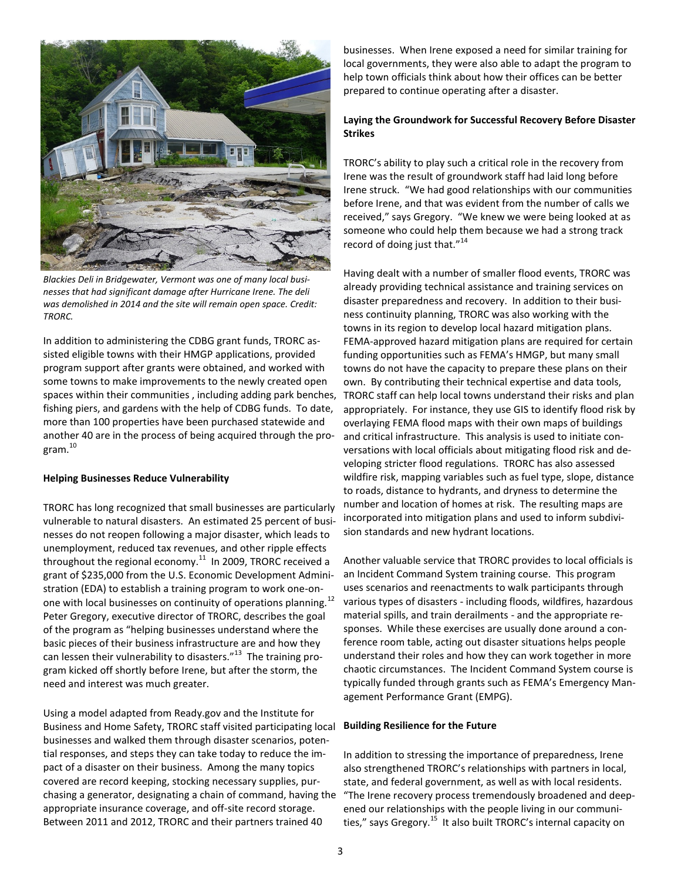

*Blackies Deli in Bridgewater, Vermont was one of many local businesses that had significant damage after Hurricane Irene. The deli was demolished in 2014 and the site will remain open space. Credit: TRORC.*

In addition to administering the CDBG grant funds, TRORC assisted eligible towns with their HMGP applications, provided program support after grants were obtained, and worked with some towns to make improvements to the newly created open spaces within their communities , including adding park benches, fishing piers, and gardens with the help of CDBG funds. To date, more than 100 properties have been purchased statewide and another 40 are in the process of being acquired through the pro $gram<sup>10</sup>$ 

#### **Helping Businesses Reduce Vulnerability**

TRORC has long recognized that small businesses are particularly vulnerable to natural disasters. An estimated 25 percent of businesses do not reopen following a major disaster, which leads to unemployment, reduced tax revenues, and other ripple effects throughout the regional economy. $^{11}$  In 2009, TRORC received a grant of \$235,000 from the U.S. Economic Development Administration (EDA) to establish a training program to work one-onone with local businesses on continuity of operations planning.<sup>12</sup> Peter Gregory, executive director of TRORC, describes the goal of the program as "helping businesses understand where the basic pieces of their business infrastructure are and how they can lessen their vulnerability to disasters."<sup>13</sup> The training program kicked off shortly before Irene, but after the storm, the need and interest was much greater.

Using a model adapted from Ready.gov and the Institute for Business and Home Safety, TRORC staff visited participating local businesses and walked them through disaster scenarios, potential responses, and steps they can take today to reduce the impact of a disaster on their business. Among the many topics covered are record keeping, stocking necessary supplies, purchasing a generator, designating a chain of command, having the appropriate insurance coverage, and off-site record storage. Between 2011 and 2012, TRORC and their partners trained 40

businesses. When Irene exposed a need for similar training for local governments, they were also able to adapt the program to help town officials think about how their offices can be better prepared to continue operating after a disaster.

#### **Laying the Groundwork for Successful Recovery Before Disaster Strikes**

TRORC's ability to play such a critical role in the recovery from Irene was the result of groundwork staff had laid long before Irene struck. "We had good relationships with our communities before Irene, and that was evident from the number of calls we received," says Gregory. "We knew we were being looked at as someone who could help them because we had a strong track record of doing just that."<sup>14</sup>

Having dealt with a number of smaller flood events, TRORC was already providing technical assistance and training services on disaster preparedness and recovery. In addition to their business continuity planning, TRORC was also working with the towns in its region to develop local hazard mitigation plans. FEMA-approved hazard mitigation plans are required for certain funding opportunities such as FEMA's HMGP, but many small towns do not have the capacity to prepare these plans on their own. By contributing their technical expertise and data tools, TRORC staff can help local towns understand their risks and plan appropriately. For instance, they use GIS to identify flood risk by overlaying FEMA flood maps with their own maps of buildings and critical infrastructure. This analysis is used to initiate conversations with local officials about mitigating flood risk and developing stricter flood regulations. TRORC has also assessed wildfire risk, mapping variables such as fuel type, slope, distance to roads, distance to hydrants, and dryness to determine the number and location of homes at risk. The resulting maps are incorporated into mitigation plans and used to inform subdivision standards and new hydrant locations.

Another valuable service that TRORC provides to local officials is an Incident Command System training course. This program uses scenarios and reenactments to walk participants through various types of disasters - including floods, wildfires, hazardous material spills, and train derailments - and the appropriate responses. While these exercises are usually done around a conference room table, acting out disaster situations helps people understand their roles and how they can work together in more chaotic circumstances. The Incident Command System course is typically funded through grants such as FEMA's Emergency Management Performance Grant (EMPG).

#### **Building Resilience for the Future**

In addition to stressing the importance of preparedness, Irene also strengthened TRORC's relationships with partners in local, state, and federal government, as well as with local residents. "The Irene recovery process tremendously broadened and deepened our relationships with the people living in our communities," says Gregory.<sup>15</sup> It also built TRORC's internal capacity on